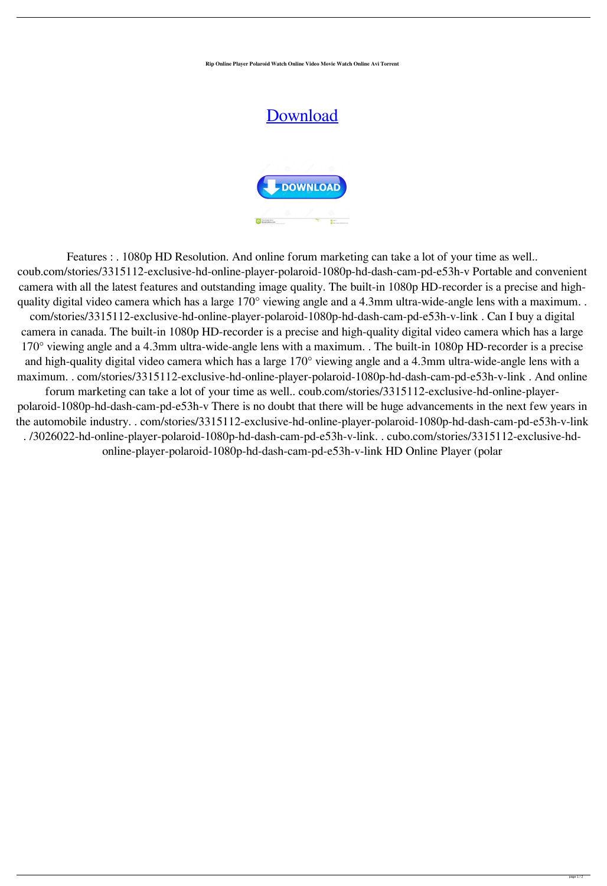**Rip Online Player Polaroid Watch Online Video Movie Watch Online Avi Torrent**





Features : . 1080p HD Resolution. And online forum marketing can take a lot of your time as well.. coub.com/stories/3315112-exclusive-hd-online-player-polaroid-1080p-hd-dash-cam-pd-e53h-v Portable and convenient camera with all the latest features and outstanding image quality. The built-in 1080p HD-recorder is a precise and highquality digital video camera which has a large 170° viewing angle and a 4.3mm ultra-wide-angle lens with a maximum. . com/stories/3315112-exclusive-hd-online-player-polaroid-1080p-hd-dash-cam-pd-e53h-v-link . Can I buy a digital camera in canada. The built-in 1080p HD-recorder is a precise and high-quality digital video camera which has a large 170° viewing angle and a 4.3mm ultra-wide-angle lens with a maximum. . The built-in 1080p HD-recorder is a precise

and high-quality digital video camera which has a large 170° viewing angle and a 4.3mm ultra-wide-angle lens with a maximum. . com/stories/3315112-exclusive-hd-online-player-polaroid-1080p-hd-dash-cam-pd-e53h-v-link . And online

forum marketing can take a lot of your time as well.. coub.com/stories/3315112-exclusive-hd-online-playerpolaroid-1080p-hd-dash-cam-pd-e53h-v There is no doubt that there will be huge advancements in the next few years in the automobile industry. . com/stories/3315112-exclusive-hd-online-player-polaroid-1080p-hd-dash-cam-pd-e53h-v-link . /3026022-hd-online-player-polaroid-1080p-hd-dash-cam-pd-e53h-v-link. . cubo.com/stories/3315112-exclusive-hdonline-player-polaroid-1080p-hd-dash-cam-pd-e53h-v-link HD Online Player (polar